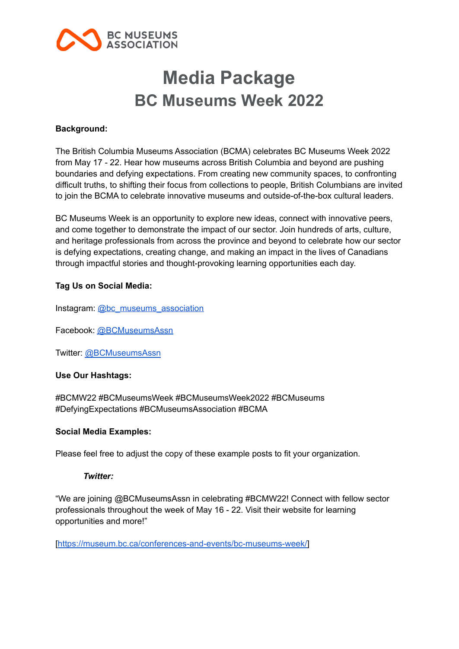

# **Media Package BC Museums Week 2022**

# **Background:**

The British Columbia Museums Association (BCMA) celebrates BC Museums Week 2022 from May 17 - 22. Hear how museums across British Columbia and beyond are pushing boundaries and defying expectations. From creating new community spaces, to confronting difficult truths, to shifting their focus from collections to people, British Columbians are invited to join the BCMA to celebrate innovative museums and outside-of-the-box cultural leaders.

BC Museums Week is an opportunity to explore new ideas, connect with innovative peers, and come together to demonstrate the impact of our sector. Join hundreds of arts, culture, and heritage professionals from across the province and beyond to celebrate how our sector is defying expectations, creating change, and making an impact in the lives of Canadians through impactful stories and thought-provoking learning opportunities each day.

# **Tag Us on Social Media:**

Instagram: [@bc\\_museums\\_association](https://www.instagram.com/bc_museums_association/)

Facebook: [@BCMuseumsAssn](https://www.facebook.com/BCMuseumsAssn/)

Twitter: [@BCMuseumsAssn](https://twitter.com/BCMuseumsAssn)

# **Use Our Hashtags:**

#BCMW22 #BCMuseumsWeek #BCMuseumsWeek2022 #BCMuseums #DefyingExpectations #BCMuseumsAssociation #BCMA

# **Social Media Examples:**

Please feel free to adjust the copy of these example posts to fit your organization.

# *Twitter:*

"We are joining @BCMuseumsAssn in celebrating #BCMW22! Connect with fellow sector professionals throughout the week of May 16 - 22. Visit their website for learning opportunities and more!"

[\[https://museum.bc.ca/conferences-and-events/bc-museums-week/\]](https://museum.bc.ca/conferences-and-events/bc-museums-week/)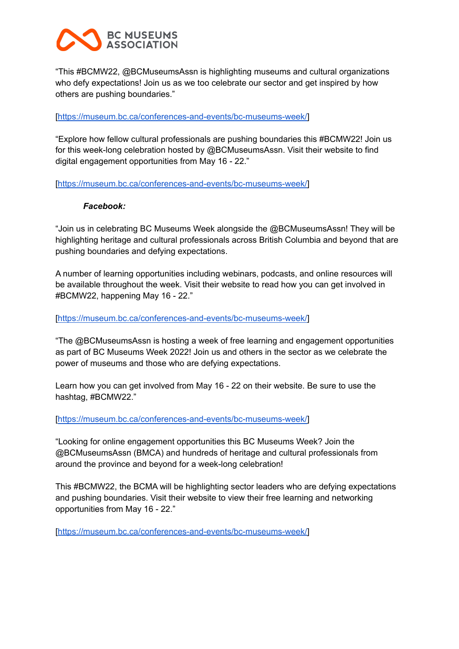# **BC NUSEUNS ASSOCIATION**

"This #BCMW22, @BCMuseumsAssn is highlighting museums and cultural organizations who defy expectations! Join us as we too celebrate our sector and get inspired by how others are pushing boundaries."

# [\[https://museum.bc.ca/conferences-and-events/bc-museums-week/\]](https://museum.bc.ca/conferences-and-events/bc-museums-week/)

"Explore how fellow cultural professionals are pushing boundaries this #BCMW22! Join us for this week-long celebration hosted by @BCMuseumsAssn. Visit their website to find digital engagement opportunities from May 16 - 22."

[\[https://museum.bc.ca/conferences-and-events/bc-museums-week/\]](https://museum.bc.ca/conferences-and-events/bc-museums-week/)

# *Facebook:*

"Join us in celebrating BC Museums Week alongside the @BCMuseumsAssn! They will be highlighting heritage and cultural professionals across British Columbia and beyond that are pushing boundaries and defying expectations.

A number of learning opportunities including webinars, podcasts, and online resources will be available throughout the week. Visit their website to read how you can get involved in #BCMW22, happening May 16 - 22."

[\[https://museum.bc.ca/conferences-and-events/bc-museums-week/\]](https://museum.bc.ca/conferences-and-events/bc-museums-week/)

"The @BCMuseumsAssn is hosting a week of free learning and engagement opportunities as part of BC Museums Week 2022! Join us and others in the sector as we celebrate the power of museums and those who are defying expectations.

Learn how you can get involved from May 16 - 22 on their website. Be sure to use the hashtag, #BCMW22."

[\[https://museum.bc.ca/conferences-and-events/bc-museums-week/\]](https://museum.bc.ca/conferences-and-events/bc-museums-week/)

"Looking for online engagement opportunities this BC Museums Week? Join the @BCMuseumsAssn (BMCA) and hundreds of heritage and cultural professionals from around the province and beyond for a week-long celebration!

This #BCMW22, the BCMA will be highlighting sector leaders who are defying expectations and pushing boundaries. Visit their website to view their free learning and networking opportunities from May 16 - 22."

[\[https://museum.bc.ca/conferences-and-events/bc-museums-week/\]](https://museum.bc.ca/conferences-and-events/bc-museums-week/)